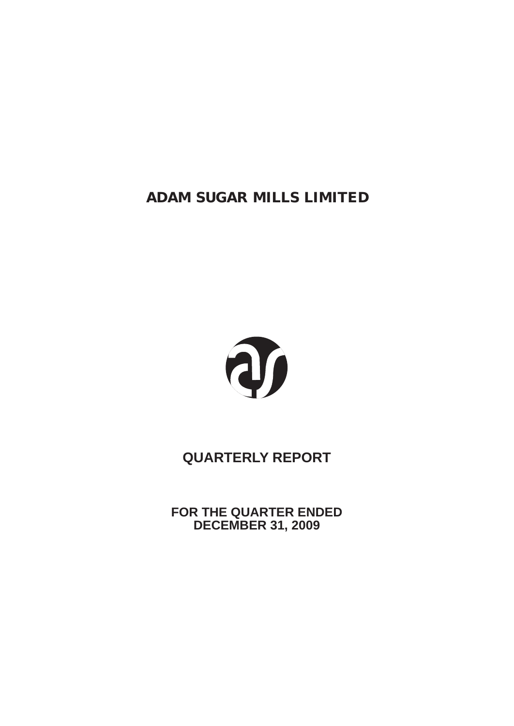

# **QUARTERLY REPORT**

**FOR THE QUARTER ENDED DECEMBER 31, 2009**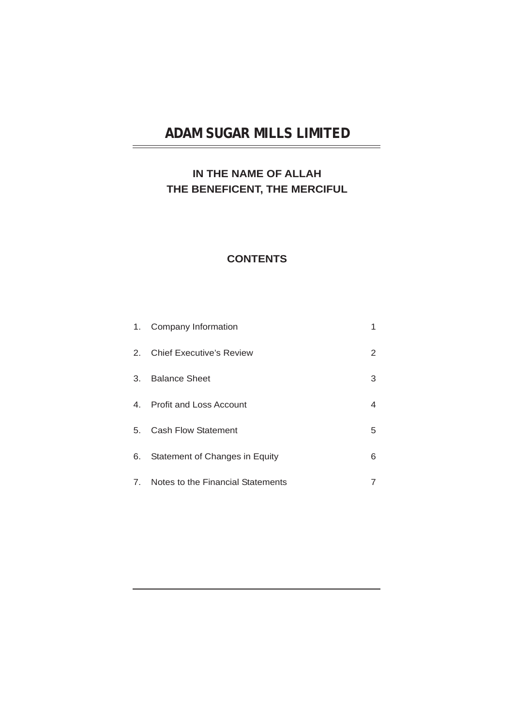### **IN THE NAME OF ALLAH THE BENEFICENT, THE MERCIFUL**

### **CONTENTS**

| 1. | Company Information                  |   |
|----|--------------------------------------|---|
|    | 2. Chief Executive's Review          | 2 |
| 3. | <b>Balance Sheet</b>                 | 3 |
| 4. | <b>Profit and Loss Account</b>       | 4 |
| 5. | <b>Cash Flow Statement</b>           | 5 |
| 6. | Statement of Changes in Equity       | 6 |
|    | 7. Notes to the Financial Statements |   |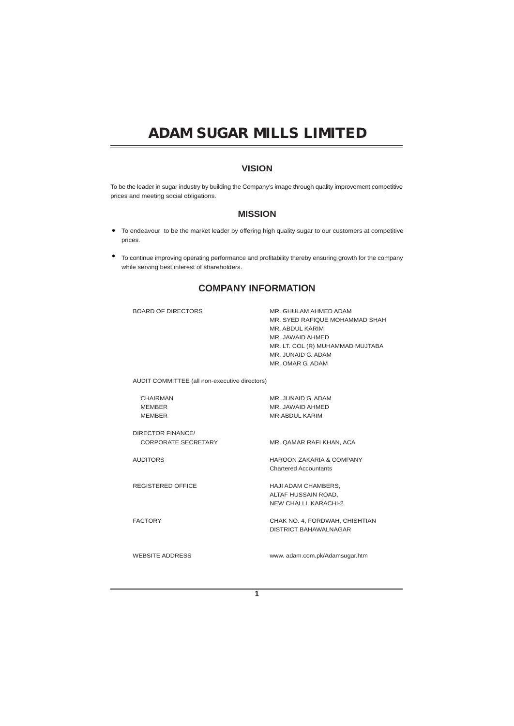### **VISION**

To be the leader in sugar industry by building the Company's image through quality improvement competitive prices and meeting social obligations.

### **MISSION**

- To endeavour to be the market leader by offering high quality sugar to our customers at competitive prices.
- $\bullet$ To continue improving operating performance and profitability thereby ensuring growth for the company while serving best interest of shareholders.

### **COMPANY INFORMATION**

BOARD OF DIRECTORS AUDIT COMMITTEE (all non-executive directors) CHAIRMAN MEMBER MEMBER DIRECTOR FINANCE/ CORPORATE SECRETARY AUDITORS REGISTERED OFFICE FACTORY WEBSITE ADDRESS MR. GHULAM AHMED ADAM MR. SYED RAFIQUE MOHAMMAD SHAH MR. ABDUL KARIM MR. JAWAID AHMED MR. LT. COL (R) MUHAMMAD MUJTABA MR. JUNAID G. ADAM MR. OMAR G. ADAM MR. JUNAID G. ADAM MR. JAWAID AHMED MR.ABDUL KARIM MR. QAMAR RAFI KHAN, ACA HAROON ZAKARIA & COMPANY Chartered Accountants HAJI ADAM CHAMBERS, ALTAF HUSSAIN ROAD, NEW CHALLI, KARACHI-2 CHAK NO. 4, FORDWAH, CHISHTIAN DISTRICT BAHAWALNAGAR www. adam.com.pk/Adamsugar.htm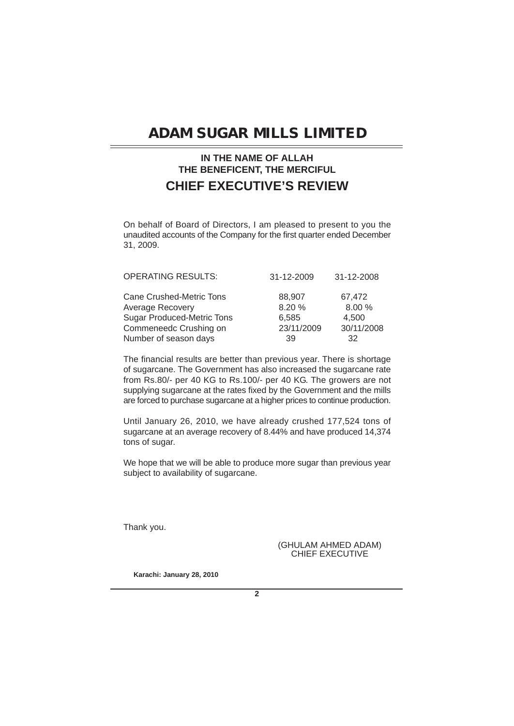### **IN THE NAME OF ALLAH THE BENEFICENT, THE MERCIFUL CHIEF EXECUTIVE'S REVIEW**

On behalf of Board of Directors, I am pleased to present to you the unaudited accounts of the Company for the first quarter ended December 31, 2009.

| <b>OPERATING RESULTS:</b>         | 31-12-2009 | 31-12-2008 |
|-----------------------------------|------------|------------|
| Cane Crushed-Metric Tons          | 88.907     | 67.472     |
| Average Recovery                  | 8.20%      | 8.00 %     |
| <b>Sugar Produced-Metric Tons</b> | 6,585      | 4.500      |
| Commeneedc Crushing on            | 23/11/2009 | 30/11/2008 |
| Number of season days             | 39         | 32         |

The financial results are better than previous year. There is shortage of sugarcane. The Government has also increased the sugarcane rate from Rs.80/- per 40 KG to Rs.100/- per 40 KG. The growers are not supplying sugarcane at the rates fixed by the Government and the mills are forced to purchase sugarcane at a higher prices to continue production.

Until January 26, 2010, we have already crushed 177,524 tons of sugarcane at an average recovery of 8.44% and have produced 14,374 tons of sugar.

We hope that we will be able to produce more sugar than previous year subject to availability of sugarcane.

Thank you.

(GHULAM AHMED ADAM) CHIEF EXECUTIVE

**Karachi: January 28, 2010**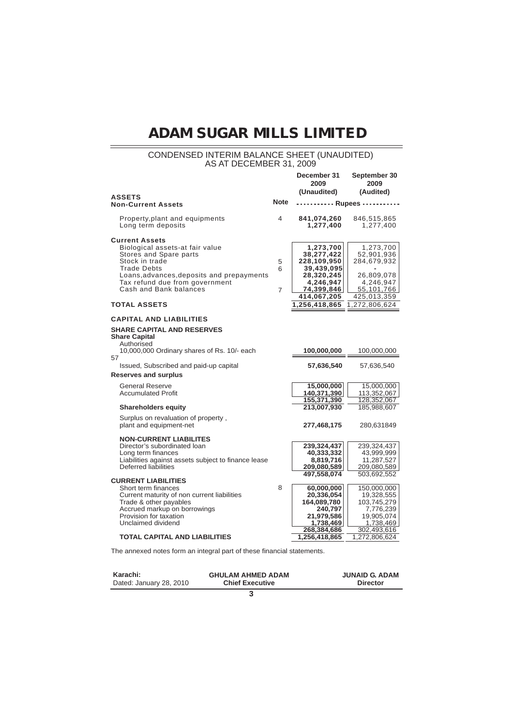### CONDENSED INTERIM BALANCE SHEET (UNAUDITED) AS AT DECEMBER 31, 2009

|                                                                                                                                                                                                                                     |                          | December 31<br>2009                                                                                          | September 30<br>2009                                                                                           |
|-------------------------------------------------------------------------------------------------------------------------------------------------------------------------------------------------------------------------------------|--------------------------|--------------------------------------------------------------------------------------------------------------|----------------------------------------------------------------------------------------------------------------|
|                                                                                                                                                                                                                                     |                          | (Unaudited)                                                                                                  | (Audited)                                                                                                      |
| <b>ASSETS</b><br><b>Non-Current Assets</b>                                                                                                                                                                                          | <b>Note</b>              | Rupees -                                                                                                     |                                                                                                                |
| Property, plant and equipments<br>Long term deposits                                                                                                                                                                                | 4                        | 841,074,260<br>1,277,400                                                                                     | 846,515,865<br>1,277,400                                                                                       |
| <b>Current Assets</b><br>Biological assets-at fair value<br>Stores and Spare parts<br>Stock in trade<br><b>Trade Debts</b><br>Loans, advances, deposits and prepayments<br>Tax refund due from government<br>Cash and Bank balances | 5<br>6<br>$\overline{7}$ | 1,273,700<br>38,277,422<br>228,109,950<br>39,439,095<br>28,320,245<br>4,246,947<br>74,399,846<br>414,067,205 | 1,273,700<br>52,901,936<br>284,679,932<br>26,809,078<br>4,246,947<br>55,101,766<br>425,013,359                 |
| <b>TOTAL ASSETS</b>                                                                                                                                                                                                                 |                          | 1,256,418,865                                                                                                | 1,272,806,624                                                                                                  |
| <b>CAPITAL AND LIABILITIES</b><br><b>SHARE CAPITAL AND RESERVES</b><br><b>Share Capital</b><br>Authorised                                                                                                                           |                          |                                                                                                              |                                                                                                                |
| 10,000,000 Ordinary shares of Rs. 10/- each<br>57<br>Issued, Subscribed and paid-up capital                                                                                                                                         |                          | 100,000,000<br>57,636,540                                                                                    | 100,000,000<br>57,636,540                                                                                      |
| Reserves and surplus                                                                                                                                                                                                                |                          |                                                                                                              |                                                                                                                |
| <b>General Reserve</b><br><b>Accumulated Profit</b>                                                                                                                                                                                 |                          | 15,000,000<br>140,371,390<br>155,371,390                                                                     | 15,000,000<br>113,352,067<br>128,352,067                                                                       |
| <b>Shareholders equity</b>                                                                                                                                                                                                          |                          | 213,007,930                                                                                                  | 185,988,607                                                                                                    |
| Surplus on revaluation of property,<br>plant and equipment-net                                                                                                                                                                      |                          | 277,468,175                                                                                                  | 280,631849                                                                                                     |
| <b>NON-CURRENT LIABILITES</b><br>Director's subordinated loan<br>Long term finances<br>Liabilities against assets subject to finance lease<br>Deferred liabilities                                                                  |                          | 239,324,437<br>40,333,332<br>8,819,716<br>209,080,589                                                        | 239,324,437<br>43,999,999<br>11,287,527<br>209,080,589                                                         |
| <b>CURRENT LIABILITIES</b><br>Short term finances<br>Current maturity of non current liabilities<br>Trade & other payables<br>Accrued markup on borrowings<br>Provision for taxation<br>Unclaimed dividend                          | 8                        | 497,558,074<br>60,000,000<br>20,336,054<br>164,089,780<br>240,797<br>21,979,586<br>1,738,469<br>268,384,686  | 503,692,552<br>150,000,000<br>19,328,555<br>103,745,279<br>7,776,239<br>19,905,074<br>1,738,469<br>302,493,616 |
| <b>TOTAL CAPITAL AND LIABILITIES</b>                                                                                                                                                                                                |                          | 1,256,418,865                                                                                                | 1,272,806,624                                                                                                  |

The annexed notes form an integral part of these financial statements.

| Karachi:                | <b>GHULAM AHMED ADAM</b> | <b>JUNAID G. ADAM</b> |
|-------------------------|--------------------------|-----------------------|
| Dated: January 28, 2010 | <b>Chief Executive</b>   | <b>Director</b>       |
|                         |                          |                       |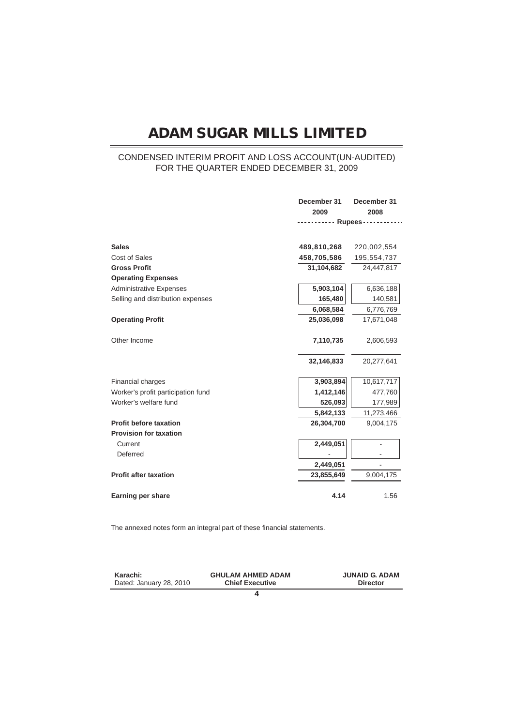### CONDENSED INTERIM PROFIT AND LOSS ACCOUNT(UN-AUDITED) FOR THE QUARTER ENDED DECEMBER 31, 2009

|                                    | December 31          | December 31 |
|------------------------------------|----------------------|-------------|
|                                    | 2009                 | 2008        |
|                                    | -------- Rupees----- |             |
|                                    |                      |             |
| <b>Sales</b>                       | 489,810,268          | 220,002,554 |
| <b>Cost of Sales</b>               | 458,705,586          | 195,554,737 |
| <b>Gross Profit</b>                | 31,104,682           | 24,447,817  |
| <b>Operating Expenses</b>          |                      |             |
| <b>Administrative Expenses</b>     | 5,903,104            | 6,636,188   |
| Selling and distribution expenses  | 165,480              | 140,581     |
|                                    | 6,068,584            | 6,776,769   |
| <b>Operating Profit</b>            | 25,036,098           | 17,671,048  |
|                                    |                      |             |
| Other Income                       | 7,110,735            | 2,606,593   |
|                                    |                      |             |
|                                    | 32,146,833           | 20,277,641  |
|                                    |                      |             |
| Financial charges                  | 3,903,894            | 10,617,717  |
| Worker's profit participation fund | 1,412,146            | 477,760     |
| Worker's welfare fund              | 526,093              | 177,989     |
|                                    | 5,842,133            | 11,273,466  |
| <b>Profit before taxation</b>      | 26,304,700           | 9,004,175   |
| <b>Provision for taxation</b>      |                      |             |
| Current                            | 2,449,051            |             |
| Deferred                           |                      |             |
|                                    | 2,449,051            |             |
| <b>Profit after taxation</b>       | 23,855,649           | 9,004,175   |
|                                    |                      |             |
| Earning per share                  | 4.14                 | 1.56        |

The annexed notes form an integral part of these financial statements.

| Karachi:                | <b>GHULAM AHMED ADAM</b> | <b>JUNAID G. ADAM</b> |
|-------------------------|--------------------------|-----------------------|
| Dated: January 28, 2010 | <b>Chief Executive</b>   | <b>Director</b>       |
|                         |                          |                       |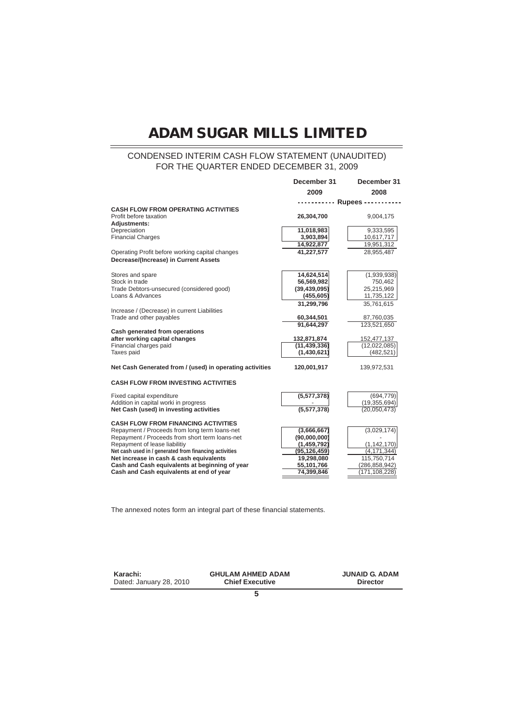### CONDENSED INTERIM CASH FLOW STATEMENT (UNAUDITED) FOR THE QUARTER ENDED DECEMBER 31, 2009

|                                                                          | December 31              | December 31     |
|--------------------------------------------------------------------------|--------------------------|-----------------|
|                                                                          | 2009                     | 2008            |
|                                                                          | --------- Rupees ------- |                 |
| <b>CASH FLOW FROM OPERATING ACTIVITIES</b>                               |                          |                 |
| Profit before taxation<br>Adjustments:                                   | 26,304,700               | 9,004,175       |
| Depreciation                                                             | 11,018,983               | 9,333,595       |
| <b>Financial Charges</b>                                                 | 3,903,894                | 10,617,717      |
|                                                                          | 14,922,877               | 19,951,312      |
| Operating Profit before working capital changes                          | 41,227,577               | 28,955,487      |
| Decrease/(Increase) in Current Assets                                    |                          |                 |
| Stores and spare                                                         | 14,624,514               | (1,939,938)     |
| Stock in trade                                                           | 56,569,982               | 750,462         |
| Trade Debtors-unsecured (considered good)                                | (39, 439, 095)           | 25,215,969      |
| Loans & Advances                                                         | (455, 605)               | 11,735,122      |
|                                                                          | 31.299.796               | 35.761.615      |
| Increase / (Decrease) in current Liabilities<br>Trade and other payables | 60,344,501               | 87,760,035      |
|                                                                          | 91,644,297               | 123,521,650     |
| Cash generated from operations                                           |                          |                 |
| after working capital changes                                            | 132,871,874              | 152,477,137     |
| Financial charges paid                                                   | (11, 439, 336)           | (12,022,085)    |
| Taxes paid                                                               | (1,430,621)              | (482, 521)      |
| Net Cash Generated from / (used) in operating activities                 | 120,001,917              | 139,972,531     |
| <b>CASH FLOW FROM INVESTING ACTIVITIES</b>                               |                          |                 |
| Fixed capital expenditure                                                | (5,577,378)              | (694, 779)      |
| Addition in capital worki in progress                                    |                          | (19,355,694)    |
| Net Cash (used) in investing activities                                  | (5,577,378)              | (20,050,473)    |
| <b>CASH FLOW FROM FINANCING ACTIVITIES</b>                               |                          |                 |
| Repayment / Proceeds from long term loans-net                            | (3,666,667)              | (3,029,174)     |
| Repayment / Proceeds from short term loans-net                           | (90,000,000)             |                 |
| Repayment of lease liabilitiy                                            | (1,459,792)              | (1, 142, 170)   |
| Net cash used in / generated from financing activities                   | (95, 126, 459)           | (4, 171, 344)   |
| Net increase in cash & cash equivalents                                  | 19,298,080               | 115,750,714     |
| Cash and Cash equivalents at beginning of year                           | 55,101,766               | (286, 858, 942) |
| Cash and Cash equivalents at end of year                                 | 74,399,846               | (171, 108, 228) |

The annexed notes form an integral part of these financial statements.

**Karachi:** Dated: January 28, 2010

**GHULAM AHMED ADAM Chief Executive**

**JUNAID G. ADAM Director**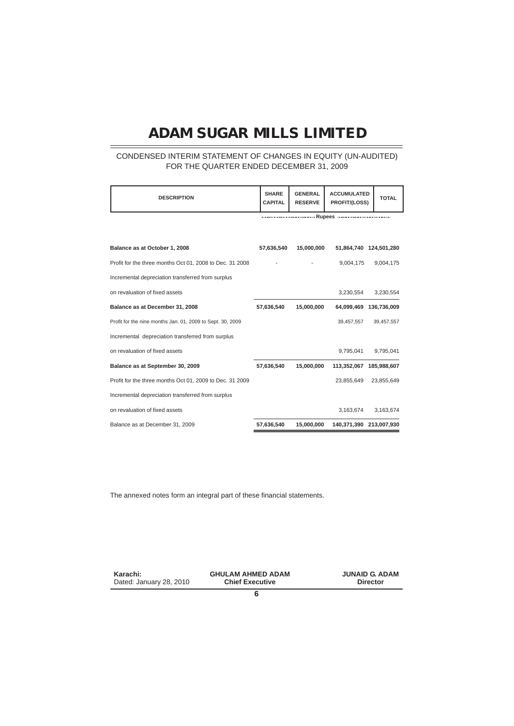### CONDENSED INTERIM STATEMENT OF CHANGES IN EQUITY (UN-AUDITED) FOR THE QUARTER ENDED DECEMBER 31, 2009

| <b>DESCRIPTION</b>                                         | <b>SHARE</b><br><b>CAPITAL</b> | <b>GENERAL</b><br><b>RESERVE</b> | <b>ACCUMULATED</b><br>PROFIT/(LOSS) | <b>TOTAL</b>            |
|------------------------------------------------------------|--------------------------------|----------------------------------|-------------------------------------|-------------------------|
|                                                            |                                |                                  | Rupees                              |                         |
|                                                            |                                |                                  |                                     |                         |
| Balance as at October 1, 2008                              | 57,636,540                     | 15,000,000                       |                                     | 51,864,740 124,501,280  |
| Profit for the three months Oct 01, 2008 to Dec. 31 2008   |                                |                                  | 9,004,175                           | 9,004,175               |
| Incremental depreciation transferred from surplus          |                                |                                  |                                     |                         |
| on revaluation of fixed assets                             |                                |                                  | 3,230,554                           | 3,230,554               |
| Balance as at December 31, 2008                            | 57,636,540                     | 15,000,000                       |                                     | 64,099,469 136,736,009  |
| Profit for the nine months Jan. 01, 2009 to Sept. 30, 2009 |                                |                                  | 39,457,557                          | 39,457,557              |
| Incremental depreciation transferred from surplus          |                                |                                  |                                     |                         |
| on revaluation of fixed assets                             |                                |                                  | 9,795,041                           | 9,795,041               |
| Balance as at September 30, 2009                           | 57.636.540                     | 15,000,000                       |                                     | 113.352.067 185.988.607 |
| Profit for the three months Oct 01, 2009 to Dec. 31 2009   |                                |                                  | 23.855.649                          | 23,855,649              |
| Incremental depreciation transferred from surplus          |                                |                                  |                                     |                         |
| on revaluation of fixed assets                             |                                |                                  | 3,163,674                           | 3,163,674               |
| Balance as at December 31, 2009                            | 57,636,540                     | 15,000,000                       |                                     | 140,371,390 213,007,930 |

The annexed notes form an integral part of these financial statements.

| Karachi:                | <b>GHULAM AHMED ADAM</b> | <b>JUNAID G. ADAM</b> |  |
|-------------------------|--------------------------|-----------------------|--|
| Dated: January 28, 2010 | <b>Chief Executive</b>   | <b>Director</b>       |  |
|                         |                          |                       |  |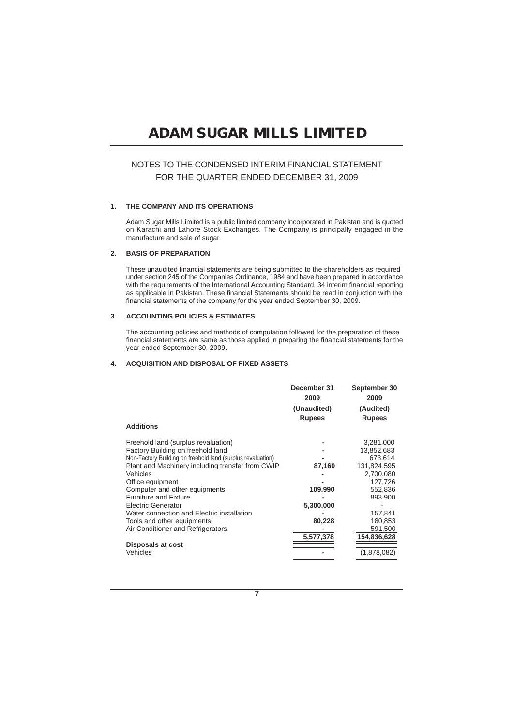### NOTES TO THE CONDENSED INTERIM FINANCIAL STATEMENT FOR THE QUARTER ENDED DECEMBER 31, 2009

#### **1. THE COMPANY AND ITS OPERATIONS**

Adam Sugar Mills Limited is a public limited company incorporated in Pakistan and is quoted on Karachi and Lahore Stock Exchanges. The Company is principally engaged in the manufacture and sale of sugar.

#### **2. BASIS OF PREPARATION**

These unaudited financial statements are being submitted to the shareholders as required under section 245 of the Companies Ordinance, 1984 and have been prepared in accordance with the requirements of the International Accounting Standard, 34 interim financial reporting as applicable in Pakistan. These financial Statements should be read in conjuction with the financial statements of the company for the year ended September 30, 2009.

#### **3. ACCOUNTING POLICIES & ESTIMATES**

The accounting policies and methods of computation followed for the preparation of these financial statements are same as those applied in preparing the financial statements for the year ended September 30, 2009.

### **4. ACQUISITION AND DISPOSAL OF FIXED ASSETS**

|                                                             | December 31<br>2009 | September 30<br>2009 |
|-------------------------------------------------------------|---------------------|----------------------|
|                                                             | (Unaudited)         | (Audited)            |
|                                                             | <b>Rupees</b>       | <b>Rupees</b>        |
| <b>Additions</b>                                            |                     |                      |
| Freehold land (surplus revaluation)                         |                     | 3,281,000            |
| Factory Building on freehold land                           |                     | 13,852,683           |
| Non-Factory Building on freehold land (surplus revaluation) |                     | 673,614              |
| Plant and Machinery including transfer from CWIP            | 87,160              | 131,824,595          |
| Vehicles                                                    |                     | 2,700,080            |
| Office equipment                                            |                     | 127,726              |
| Computer and other equipments                               | 109,990             | 552,836              |
| <b>Furniture and Fixture</b>                                |                     | 893,900              |
| <b>Electric Generator</b>                                   | 5,300,000           |                      |
| Water connection and Electric installation                  |                     | 157,841              |
| Tools and other equipments                                  | 80,228              | 180,853              |
| Air Conditioner and Refrigerators                           |                     | 591,500              |
|                                                             | 5,577,378           | 154,836,628          |
| Disposals at cost                                           |                     |                      |
| Vehicles                                                    |                     | (1,878,082)          |
|                                                             |                     |                      |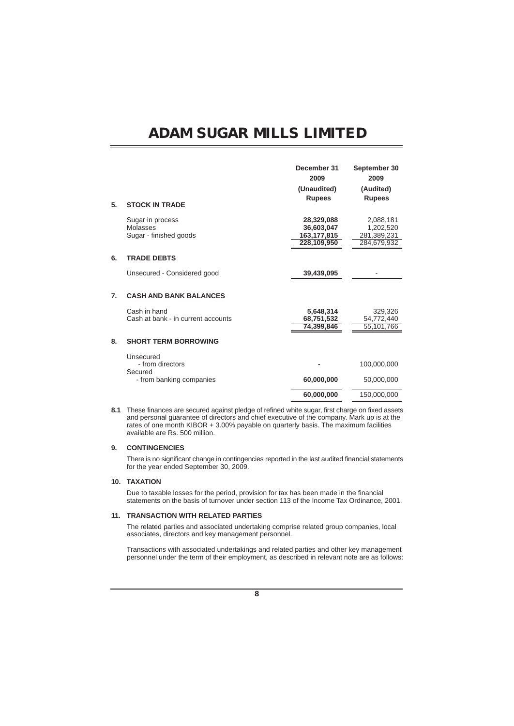|    |                                                        | December 31<br>2009                                    | September 30<br>2009                                 |
|----|--------------------------------------------------------|--------------------------------------------------------|------------------------------------------------------|
|    |                                                        | (Unaudited)                                            | (Audited)                                            |
| 5. | <b>STOCK IN TRADE</b>                                  | <b>Rupees</b>                                          | <b>Rupees</b>                                        |
|    | Sugar in process<br>Molasses<br>Sugar - finished goods | 28,329,088<br>36.603.047<br>163,177,815<br>228,109,950 | 2,088,181<br>1,202,520<br>281,389,231<br>284,679,932 |
| 6. | <b>TRADE DEBTS</b>                                     |                                                        |                                                      |
|    | Unsecured - Considered good                            | 39,439,095                                             |                                                      |
| 7. | <b>CASH AND BANK BALANCES</b>                          |                                                        |                                                      |
|    | Cash in hand<br>Cash at bank - in current accounts     | 5,648,314<br>68,751,532<br>74,399,846                  | 329,326<br>54,772,440<br>55,101,766                  |
| 8. | <b>SHORT TERM BORROWING</b>                            |                                                        |                                                      |
|    | Unsecured<br>- from directors                          |                                                        | 100,000,000                                          |
|    | Secured<br>- from banking companies                    | 60,000,000                                             | 50,000,000                                           |
|    |                                                        | 60,000,000                                             | 150.000.000                                          |

**8.1** These finances are secured against pledge of refined white sugar, first charge on fixed assets and personal guarantee of directors and chief executive of the company. Mark up is at the rates of one month KIBOR + 3.00% payable on quarterly basis. The maximum facilities available are Rs. 500 million.

#### **9. CONTINGENCIES**

There is no significant change in contingencies reported in the last audited financial statements for the year ended September 30, 2009.

#### **10. TAXATION**

Due to taxable losses for the period, provision for tax has been made in the financial statements on the basis of turnover under section 113 of the Income Tax Ordinance, 2001.

#### **11. TRANSACTION WITH RELATED PARTIES**

The related parties and associated undertaking comprise related group companies, local associates, directors and key management personnel.

Transactions with associated undertakings and related parties and other key management personnel under the term of their employment, as described in relevant note are as follows: